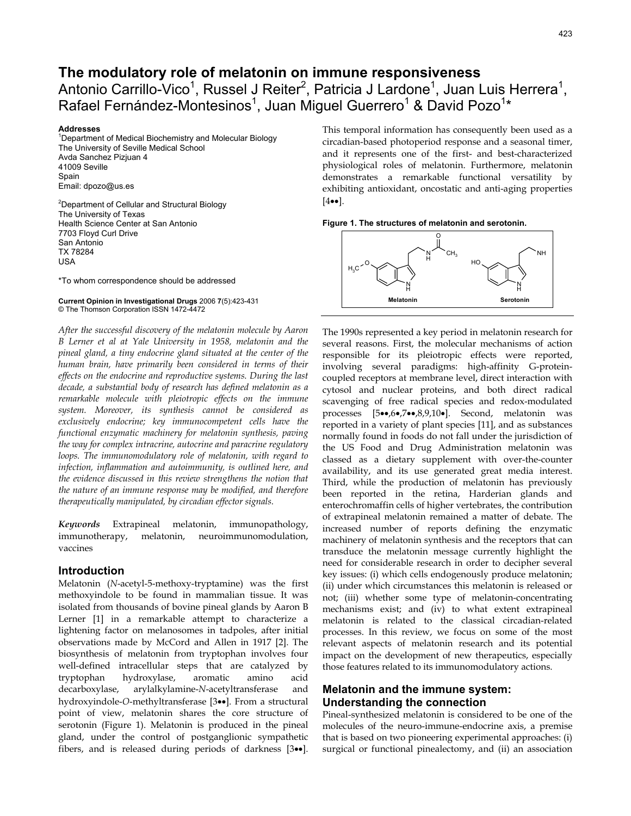# **The modulatory role of melatonin on immune responsiveness**

Antonio Carrillo-Vico<sup>1</sup>, Russel J Reiter<sup>2</sup>, Patricia J Lardone<sup>1</sup>, Juan Luis Herrera<sup>1</sup>, Rafael Fernández-Montesinos<sup>1</sup>, Juan Miguel Guerrero<sup>1</sup> & David Pozo<sup>1\*</sup>

#### **Addresses** <sup>1</sup>

<sup>1</sup>Department of Medical Biochemistry and Molecular Biology The University of Seville Medical School Avda Sanchez Pizjuan 4 41009 Seville Spain Email: dpozo@us.es

<sup>2</sup>Department of Cellular and Structural Biology The University of Texas Health Science Center at San Antonio 7703 Floyd Curl Drive San Antonio TX 78284 USA

\*To whom correspondence should be addressed

#### **Current Opinion in Investigational Drugs** 2006 **7**(5):423-431 © The Thomson Corporation ISSN 1472-4472

*After the successful discovery of the melatonin molecule by Aaron B Lerner et al at Yale University in 1958, melatonin and the pineal gland, a tiny endocrine gland situated at the center of the human brain, have primarily been considered in terms of their effects on the endocrine and reproductive systems. During the last decade, a substantial body of research has defined melatonin as a remarkable molecule with pleiotropic effects on the immune system. Moreover, its synthesis cannot be considered as exclusively endocrine; key immunocompetent cells have the functional enzymatic machinery for melatonin synthesis, paving the way for complex intracrine, autocrine and paracrine regulatory loops. The immunomodulatory role of melatonin, with regard to infection, inflammation and autoimmunity, is outlined here, and the evidence discussed in this review strengthens the notion that the nature of an immune response may be modified, and therefore therapeutically manipulated, by circadian effector signals.*

*Keywords* Extrapineal melatonin, immunopathology, immunotherapy, melatonin, neuroimmunomodulation, vaccines

### **Introduction**

Melatonin (*N*-acetyl-5-methoxy-tryptamine) was the first methoxyindole to be found in mammalian tissue. It was isolated from thousands of bovine pineal glands by Aaron B Lerner [1] in a remarkable attempt to characterize a lightening factor on melanosomes in tadpoles, after initial observations made by McCord and Allen in 1917 [2]. The biosynthesis of melatonin from tryptophan involves four well-defined intracellular steps that are catalyzed by tryptophan hydroxylase, aromatic amino acid decarboxylase, arylalkylamine-*N*-acetyltransferase and hydroxyindole-*O*-methyltransferase [3••]. From a structural point of view, melatonin shares the core structure of serotonin (Figure 1). Melatonin is produced in the pineal gland, under the control of postganglionic sympathetic fibers, and is released during periods of darkness [3••]. This temporal information has consequently been used as a circadian-based photoperiod response and a seasonal timer, and it represents one of the first- and best-characterized physiological roles of melatonin. Furthermore, melatonin demonstrates a remarkable functional versatility by exhibiting antioxidant, oncostatic and anti-aging properties  $[4\bullet\bullet]$ .

**Figure 1. The structures of melatonin and serotonin.** 



The 1990s represented a key period in melatonin research for several reasons. First, the molecular mechanisms of action responsible for its pleiotropic effects were reported, involving several paradigms: high-affinity G-proteincoupled receptors at membrane level, direct interaction with cytosol and nuclear proteins, and both direct radical scavenging of free radical species and redox-modulated processes [5••,6•,7••,8,9,10•]. Second, melatonin was reported in a variety of plant species [11], and as substances normally found in foods do not fall under the jurisdiction of the US Food and Drug Administration melatonin was classed as a dietary supplement with over-the-counter availability, and its use generated great media interest. Third, while the production of melatonin has previously been reported in the retina, Harderian glands and enterochromaffin cells of higher vertebrates, the contribution of extrapineal melatonin remained a matter of debate. The increased number of reports defining the enzymatic machinery of melatonin synthesis and the receptors that can transduce the melatonin message currently highlight the need for considerable research in order to decipher several key issues: (i) which cells endogenously produce melatonin; (ii) under which circumstances this melatonin is released or not; (iii) whether some type of melatonin-concentrating mechanisms exist; and (iv) to what extent extrapineal melatonin is related to the classical circadian-related processes. In this review, we focus on some of the most relevant aspects of melatonin research and its potential impact on the development of new therapeutics, especially those features related to its immunomodulatory actions.

# **Melatonin and the immune system: Understanding the connection**

Pineal-synthesized melatonin is considered to be one of the molecules of the neuro-immune-endocrine axis, a premise that is based on two pioneering experimental approaches: (i) surgical or functional pinealectomy, and (ii) an association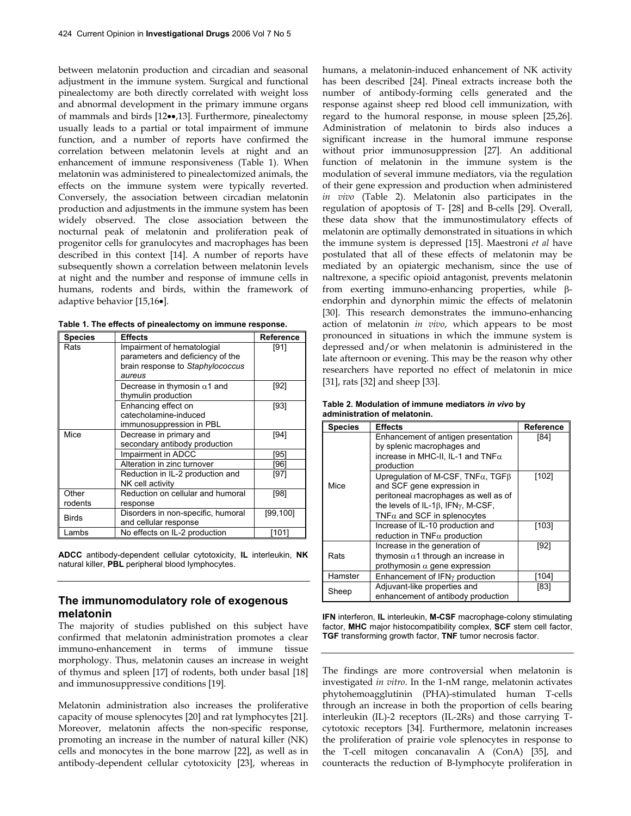between melatonin production and circadian and seasonal adjustment in the immune system. Surgical and functional pinealectomy are both directly correlated with weight loss and abnormal development in the primary immune organs of mammals and birds [12••,13]. Furthermore, pinealectomy usually leads to a partial or total impairment of immune function, and a number of reports have confirmed the correlation between melatonin levels at night and an enhancement of immune responsiveness (Table 1). When melatonin was administered to pinealectomized animals, the effects on the immune system were typically reverted. Conversely, the association between circadian melatonin production and adjustments in the immune system has been widely observed. The close association between the nocturnal peak of melatonin and proliferation peak of progenitor cells for granulocytes and macrophages has been described in this context [14]. A number of reports have subsequently shown a correlation between melatonin levels at night and the number and response of immune cells in humans, rodents and birds, within the framework of adaptive behavior [15,16•].

| Table 1. The effects of pinealectomy on immune response. |  |  |  |
|----------------------------------------------------------|--|--|--|
|----------------------------------------------------------|--|--|--|

| <b>Species</b> | <b>Effects</b>                      | Reference |
|----------------|-------------------------------------|-----------|
| Rats           | Impairment of hematologial          | [91]      |
|                | parameters and deficiency of the    |           |
|                | brain response to Staphylococcus    |           |
|                | aureus                              |           |
|                | Decrease in thymosin $\alpha$ 1 and | [92]      |
|                | thymulin production                 |           |
|                | Enhancing effect on                 | $[93]$    |
|                | catecholamine-induced               |           |
|                | immunosuppression in PBL            |           |
| Mice           | Decrease in primary and             | [94]      |
|                | secondary antibody production       |           |
|                | Impairment in ADCC                  | '951      |
|                | Alteration in zinc turnover         | [96]      |
|                | Reduction in IL-2 production and    | [97]      |
|                | NK cell activity                    |           |
| Other          | Reduction on cellular and humoral   | [98]      |
| rodents        | response                            |           |
| <b>Birds</b>   | Disorders in non-specific, humoral  | [99,100]  |
|                | and cellular response               |           |
| Lambs          | No effects on IL-2 production       | [101]     |

**ADCC** antibody-dependent cellular cytotoxicity, **IL** interleukin, **NK** natural killer, **PBL** peripheral blood lymphocytes.

### **The immunomodulatory role of exogenous melatonin**

The majority of studies published on this subject have confirmed that melatonin administration promotes a clear immuno-enhancement in terms of immune tissue morphology. Thus, melatonin causes an increase in weight of thymus and spleen [17] of rodents, both under basal [18] and immunosuppressive conditions [19].

Melatonin administration also increases the proliferative capacity of mouse splenocytes [20] and rat lymphocytes [21]. Moreover, melatonin affects the non-specific response, promoting an increase in the number of natural killer (NK) cells and monocytes in the bone marrow [22], as well as in antibody-dependent cellular cytotoxicity [23], whereas in humans, a melatonin-induced enhancement of NK activity has been described [24]. Pineal extracts increase both the number of antibody-forming cells generated and the response against sheep red blood cell immunization, with regard to the humoral response, in mouse spleen [25,26]. Administration of melatonin to birds also induces a significant increase in the humoral immune response without prior immunosuppression [27]. An additional function of melatonin in the immune system is the modulation of several immune mediators, via the regulation of their gene expression and production when administered *in vivo* (Table 2). Melatonin also participates in the regulation of apoptosis of T- [28] and B-cells [29]. Overall, these data show that the immunostimulatory effects of melatonin are optimally demonstrated in situations in which the immune system is depressed [15]. Maestroni *et al* have postulated that all of these effects of melatonin may be mediated by an opiatergic mechanism, since the use of naltrexone, a specific opioid antagonist, prevents melatonin from exerting immuno-enhancing properties, while βendorphin and dynorphin mimic the effects of melatonin [30]. This research demonstrates the immuno-enhancing action of melatonin *in vivo*, which appears to be most pronounced in situations in which the immune system is depressed and/or when melatonin is administered in the late afternoon or evening. This may be the reason why other researchers have reported no effect of melatonin in mice [31], rats [32] and sheep [33].

| Table 2. Modulation of immune mediators in vivo by |  |
|----------------------------------------------------|--|
| administration of melatonin.                       |  |

| <b>Species</b> | <b>Effects</b>                                                                                                                                                                                                      | Reference |
|----------------|---------------------------------------------------------------------------------------------------------------------------------------------------------------------------------------------------------------------|-----------|
|                | Enhancement of antigen presentation<br>by splenic macrophages and<br>increase in MHC-II, IL-1 and $TNF\alpha$<br>production                                                                                         | [84]      |
| Mice           | Uprequiation of M-CSF, $TNF\alpha$ , TGF $\beta$<br>and SCF gene expression in<br>peritoneal macrophages as well as of<br>the levels of IL-1 $\beta$ , IFN $\gamma$ , M-CSF,<br>TNF $\alpha$ and SCF in splenocytes | [102]     |
|                | Increase of IL-10 production and<br>reduction in TNF $\alpha$ production                                                                                                                                            | [103]     |
| Rats           | Increase in the generation of<br>thymosin $\alpha$ 1 through an increase in<br>prothymosin $\alpha$ gene expression                                                                                                 |           |
| Hamster        | Enhancement of $IFNY$ production                                                                                                                                                                                    |           |
| Sheep          | Adjuvant-like properties and<br>enhancement of antibody production                                                                                                                                                  |           |

**IFN** interferon, **IL** interleukin, **M-CSF** macrophage-colony stimulating factor, **MHC** major histocompatibility complex, **SCF** stem cell factor, **TGF** transforming growth factor, **TNF** tumor necrosis factor.

The findings are more controversial when melatonin is investigated *in vitro*. In the 1-nM range, melatonin activates phytohemoagglutinin (PHA)-stimulated human T-cells through an increase in both the proportion of cells bearing interleukin (IL)-2 receptors (IL-2Rs) and those carrying Tcytotoxic receptors [34]. Furthermore, melatonin increases the proliferation of prairie vole splenocytes in response to the T-cell mitogen concanavalin A (ConA) [35], and counteracts the reduction of B-lymphocyte proliferation in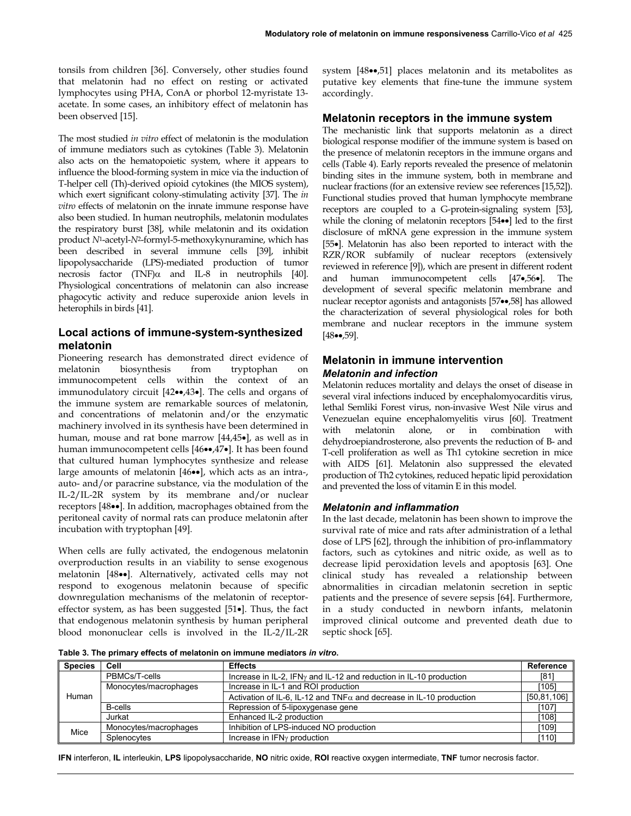tonsils from children [36]. Conversely, other studies found that melatonin had no effect on resting or activated lymphocytes using PHA, ConA or phorbol 12-myristate 13 acetate. In some cases, an inhibitory effect of melatonin has been observed [15].

The most studied *in vitro* effect of melatonin is the modulation of immune mediators such as cytokines (Table 3). Melatonin also acts on the hematopoietic system, where it appears to influence the blood-forming system in mice via the induction of T-helper cell (Th)-derived opioid cytokines (the MIOS system), which exert significant colony-stimulating activity [37]. The *in vitro* effects of melatonin on the innate immune response have also been studied. In human neutrophils, melatonin modulates the respiratory burst [38], while melatonin and its oxidation product *N*1-acetyl-*N*2-formyl-5-methoxykynuramine, which has been described in several immune cells [39], inhibit lipopolysaccharide (LPS)-mediated production of tumor necrosis factor (TNF) $\alpha$  and IL-8 in neutrophils [40]. Physiological concentrations of melatonin can also increase phagocytic activity and reduce superoxide anion levels in heterophils in birds [41].

### **Local actions of immune-system-synthesized melatonin**

Pioneering research has demonstrated direct evidence of melatonin biosynthesis from tryptophan on immunocompetent cells within the context of an immunodulatory circuit [42••,43•]. The cells and organs of the immune system are remarkable sources of melatonin, and concentrations of melatonin and/or the enzymatic machinery involved in its synthesis have been determined in human, mouse and rat bone marrow [44,45•], as well as in human immunocompetent cells [46••,47•]. It has been found that cultured human lymphocytes synthesize and release large amounts of melatonin [46••], which acts as an intra-, auto- and/or paracrine substance, via the modulation of the IL-2/IL-2R system by its membrane and/or nuclear receptors [48••]. In addition, macrophages obtained from the peritoneal cavity of normal rats can produce melatonin after incubation with tryptophan [49].

When cells are fully activated, the endogenous melatonin overproduction results in an viability to sense exogenous melatonin [48••]. Alternatively, activated cells may not respond to exogenous melatonin because of specific downregulation mechanisms of the melatonin of receptoreffector system, as has been suggested [51•]. Thus, the fact that endogenous melatonin synthesis by human peripheral blood mononuclear cells is involved in the IL-2/IL-2R system [48••,51] places melatonin and its metabolites as putative key elements that fine-tune the immune system accordingly.

### **Melatonin receptors in the immune system**

The mechanistic link that supports melatonin as a direct biological response modifier of the immune system is based on the presence of melatonin receptors in the immune organs and cells (Table 4). Early reports revealed the presence of melatonin binding sites in the immune system, both in membrane and nuclear fractions (for an extensive review see references [15,52]). Functional studies proved that human lymphocyte membrane receptors are coupled to a G-protein-signaling system [53], while the cloning of melatonin receptors [54••] led to the first disclosure of mRNA gene expression in the immune system [55•]. Melatonin has also been reported to interact with the RZR/ROR subfamily of nuclear receptors (extensively reviewed in reference [9]), which are present in different rodent and human immunocompetent cells [47•,56•]. The development of several specific melatonin membrane and nuclear receptor agonists and antagonists [57••,58] has allowed the characterization of several physiological roles for both membrane and nuclear receptors in the immune system [48••,59].

## **Melatonin in immune intervention**  *Melatonin and infection*

Melatonin reduces mortality and delays the onset of disease in several viral infections induced by encephalomyocarditis virus, lethal Semliki Forest virus, non-invasive West Nile virus and Venezuelan equine encephalomyelitis virus [60]. Treatment with melatonin alone, or in combination with dehydroepiandrosterone, also prevents the reduction of B- and T-cell proliferation as well as Th1 cytokine secretion in mice with AIDS [61]. Melatonin also suppressed the elevated production of Th2 cytokines, reduced hepatic lipid peroxidation and prevented the loss of vitamin E in this model.

#### *Melatonin and inflammation*

In the last decade, melatonin has been shown to improve the survival rate of mice and rats after administration of a lethal dose of LPS [62], through the inhibition of pro-inflammatory factors, such as cytokines and nitric oxide, as well as to decrease lipid peroxidation levels and apoptosis [63]. One clinical study has revealed a relationship between abnormalities in circadian melatonin secretion in septic patients and the presence of severe sepsis [64]. Furthermore, in a study conducted in newborn infants, melatonin improved clinical outcome and prevented death due to septic shock [65].

**Table 3. The primary effects of melatonin on immune mediators** *in vitro***.** 

| <b>Species</b> | Cell                  | <b>Effects</b>                                                              | Reference |  |
|----------------|-----------------------|-----------------------------------------------------------------------------|-----------|--|
| Human          | PBMCs/T-cells         | Increase in IL-2, IFN $\gamma$ and IL-12 and reduction in IL-10 production  |           |  |
|                | Monocytes/macrophages | Increase in IL-1 and ROI production                                         | [105]     |  |
|                |                       | Activation of IL-6, IL-12 and TNF $\alpha$ and decrease in IL-10 production |           |  |
|                | B-cells               | Repression of 5-lipoxygenase gene                                           | [107]     |  |
|                | Jurkat                | Enhanced IL-2 production                                                    | [108]     |  |
| Mice           | Monocytes/macrophages | Inhibition of LPS-induced NO production                                     | [109]     |  |
|                | Splenocytes           | Increase in $IFNY$ production                                               | [110]     |  |

**IFN** interferon, **IL** interleukin, **LPS** lipopolysaccharide, **NO** nitric oxide, **ROI** reactive oxygen intermediate, **TNF** tumor necrosis factor.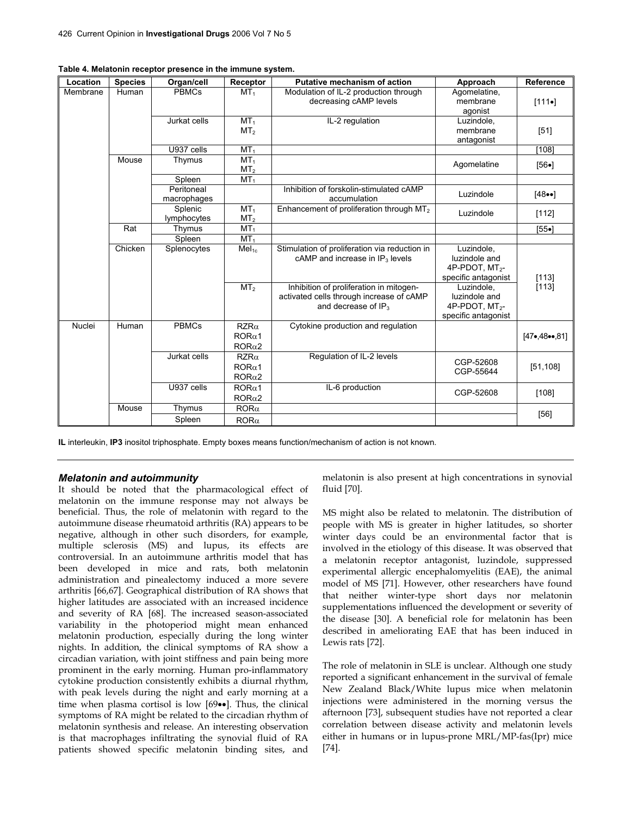| Location | <b>Species</b> | Organ/cell                | Receptor                                          | <b>Putative mechanism of action</b>                                                                           | Approach                                                                         | Reference                    |
|----------|----------------|---------------------------|---------------------------------------------------|---------------------------------------------------------------------------------------------------------------|----------------------------------------------------------------------------------|------------------------------|
| Membrane | Human          | <b>PBMCs</b>              | MT <sub>1</sub>                                   | Modulation of IL-2 production through<br>decreasing cAMP levels                                               | Agomelatine,<br>membrane<br>agonist                                              | $[111 \bullet]$              |
|          |                | Jurkat cells              | MT <sub>1</sub><br>MT <sub>2</sub>                | IL-2 regulation                                                                                               | Luzindole,<br>membrane<br>antagonist                                             | [51]                         |
|          |                | U937 cells                | MT <sub>1</sub>                                   |                                                                                                               |                                                                                  | [108]                        |
|          | Mouse          | Thymus                    | MT <sub>1</sub><br>MT <sub>2</sub>                |                                                                                                               | Agomelatine                                                                      | $[56 \bullet]$               |
|          |                | Spleen                    | MT <sub>1</sub>                                   |                                                                                                               |                                                                                  |                              |
|          |                | Peritoneal<br>macrophages |                                                   | Inhibition of forskolin-stimulated cAMP<br>accumulation                                                       | Luzindole                                                                        | $[48\bullet]$                |
|          |                | Splenic<br>lymphocytes    | MT <sub>1</sub><br>MT <sub>2</sub>                | Enhancement of proliferation through MT <sub>2</sub>                                                          | Luzindole                                                                        | [112]                        |
|          | Rat            | Thymus                    | MT <sub>1</sub>                                   |                                                                                                               |                                                                                  | $[55 \bullet]$               |
|          |                | Spleen                    | MT <sub>1</sub>                                   |                                                                                                               |                                                                                  |                              |
|          | Chicken        | Splenocytes               | Mel <sub>1c</sub>                                 | Stimulation of proliferation via reduction in<br>$c$ AMP and increase in $IP3$ levels                         | Luzindole,<br>luzindole and<br>4P-PDOT, MT <sub>2</sub> -<br>specific antagonist | [113]                        |
|          |                |                           | MT <sub>2</sub>                                   | Inhibition of proliferation in mitogen-<br>activated cells through increase of cAMP<br>and decrease of $IP_3$ | Luzindole.<br>luzindole and<br>4P-PDOT, MT <sub>2</sub> -<br>specific antagonist | [113]                        |
| Nuclei   | Human          | <b>PBMCs</b>              | $RZR\alpha$<br>$ROR\alpha1$<br>ROR <sub>α</sub> 2 | Cytokine production and regulation                                                                            |                                                                                  | $[47 \bullet 48 \bullet 81]$ |
|          |                | Jurkat cells              | $RZR\alpha$<br>$ROR\alpha1$<br>ROR <sub>α2</sub>  | Regulation of IL-2 levels                                                                                     | CGP-52608<br>CGP-55644                                                           | [51, 108]                    |
|          |                | U937 cells                | $ROR\alpha1$<br>$ROR\alpha2$                      | IL-6 production                                                                                               | CGP-52608                                                                        | [108]                        |
|          | Mouse          | Thymus                    | $ROR\alpha$                                       |                                                                                                               |                                                                                  | $[56]$                       |
|          |                | Spleen                    | $ROR\alpha$                                       |                                                                                                               |                                                                                  |                              |

**Table 4. Melatonin receptor presence in the immune system.**

**IL** interleukin, **IP3** inositol triphosphate. Empty boxes means function/mechanism of action is not known.

#### *Melatonin and autoimmunity*

It should be noted that the pharmacological effect of melatonin on the immune response may not always be beneficial. Thus, the role of melatonin with regard to the autoimmune disease rheumatoid arthritis (RA) appears to be negative, although in other such disorders, for example, multiple sclerosis (MS) and lupus, its effects are controversial. In an autoimmune arthritis model that has been developed in mice and rats, both melatonin administration and pinealectomy induced a more severe arthritis [66,67]. Geographical distribution of RA shows that higher latitudes are associated with an increased incidence and severity of RA [68]. The increased season-associated variability in the photoperiod might mean enhanced melatonin production, especially during the long winter nights. In addition, the clinical symptoms of RA show a circadian variation, with joint stiffness and pain being more prominent in the early morning. Human pro-inflammatory cytokine production consistently exhibits a diurnal rhythm, with peak levels during the night and early morning at a time when plasma cortisol is low [69••]. Thus, the clinical symptoms of RA might be related to the circadian rhythm of melatonin synthesis and release. An interesting observation is that macrophages infiltrating the synovial fluid of RA patients showed specific melatonin binding sites, and melatonin is also present at high concentrations in synovial fluid [70].

MS might also be related to melatonin. The distribution of people with MS is greater in higher latitudes, so shorter winter days could be an environmental factor that is involved in the etiology of this disease. It was observed that a melatonin receptor antagonist, luzindole, suppressed experimental allergic encephalomyelitis (EAE), the animal model of MS [71]. However, other researchers have found that neither winter-type short days nor melatonin supplementations influenced the development or severity of the disease [30]. A beneficial role for melatonin has been described in ameliorating EAE that has been induced in Lewis rats [72].

The role of melatonin in SLE is unclear. Although one study reported a significant enhancement in the survival of female New Zealand Black/White lupus mice when melatonin injections were administered in the morning versus the afternoon [73], subsequent studies have not reported a clear correlation between disease activity and melatonin levels either in humans or in lupus-prone MRL/MP-fas(Ipr) mice [74].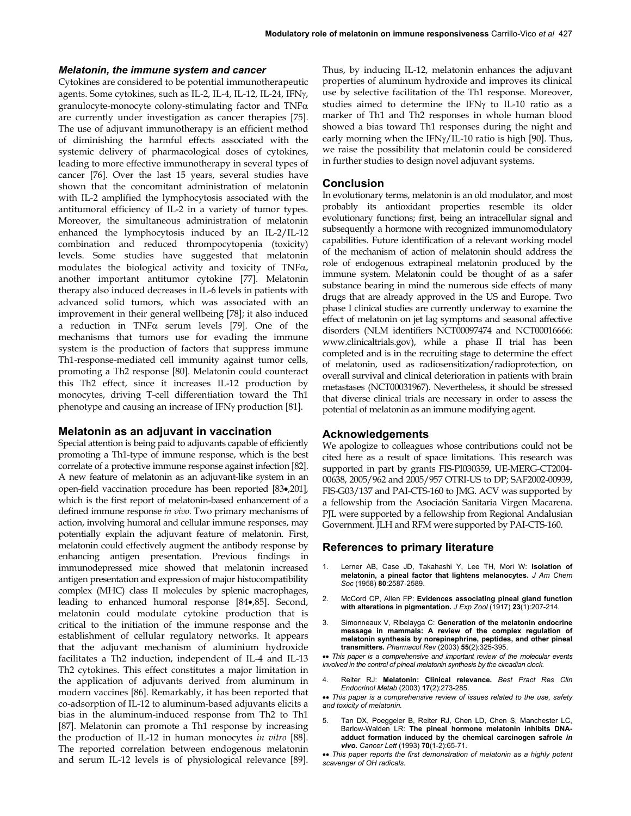### *Melatonin, the immune system and cancer*

Cytokines are considered to be potential immunotherapeutic agents. Some cytokines, such as IL-2, IL-4, IL-12, IL-24, IFNγ, granulocyte-monocyte colony-stimulating factor and TNFα are currently under investigation as cancer therapies [75]. The use of adjuvant immunotherapy is an efficient method of diminishing the harmful effects associated with the systemic delivery of pharmacological doses of cytokines, leading to more effective immunotherapy in several types of cancer [76]. Over the last 15 years, several studies have shown that the concomitant administration of melatonin with IL-2 amplified the lymphocytosis associated with the antitumoral efficiency of IL-2 in a variety of tumor types. Moreover, the simultaneous administration of melatonin enhanced the lymphocytosis induced by an IL-2/IL-12 combination and reduced thrompocytopenia (toxicity) levels. Some studies have suggested that melatonin modulates the biological activity and toxicity of TNFα, another important antitumor cytokine [77]. Melatonin therapy also induced decreases in IL-6 levels in patients with advanced solid tumors, which was associated with an improvement in their general wellbeing [78]; it also induced a reduction in TNFα serum levels [79]. One of the mechanisms that tumors use for evading the immune system is the production of factors that suppress immune Th1-response-mediated cell immunity against tumor cells, promoting a Th2 response [80]. Melatonin could counteract this Th2 effect, since it increases IL-12 production by monocytes, driving T-cell differentiation toward the Th1 phenotype and causing an increase of IFNγ production [81].

## **Melatonin as an adjuvant in vaccination**

Special attention is being paid to adjuvants capable of efficiently promoting a Th1-type of immune response, which is the best correlate of a protective immune response against infection [82]. A new feature of melatonin as an adjuvant-like system in an open-field vaccination procedure has been reported [83•,201], which is the first report of melatonin-based enhancement of a defined immune response *in vivo*. Two primary mechanisms of action, involving humoral and cellular immune responses, may potentially explain the adjuvant feature of melatonin. First, melatonin could effectively augment the antibody response by enhancing antigen presentation. Previous findings in immunodepressed mice showed that melatonin increased antigen presentation and expression of major histocompatibility complex (MHC) class II molecules by splenic macrophages, leading to enhanced humoral response [84•,85]. Second, melatonin could modulate cytokine production that is critical to the initiation of the immune response and the establishment of cellular regulatory networks. It appears that the adjuvant mechanism of aluminium hydroxide facilitates a Th2 induction, independent of IL-4 and IL-13 Th2 cytokines. This effect constitutes a major limitation in the application of adjuvants derived from aluminum in modern vaccines [86]. Remarkably, it has been reported that co-adsorption of IL-12 to aluminum-based adjuvants elicits a bias in the aluminum-induced response from Th2 to Th1 [87]. Melatonin can promote a Th1 response by increasing the production of IL-12 in human monocytes *in vitro* [88]. The reported correlation between endogenous melatonin and serum IL-12 levels is of physiological relevance [89]. Thus, by inducing IL-12, melatonin enhances the adjuvant properties of aluminum hydroxide and improves its clinical use by selective facilitation of the Th1 response. Moreover, studies aimed to determine the IFNγ to IL-10 ratio as a marker of Th1 and Th2 responses in whole human blood showed a bias toward Th1 responses during the night and early morning when the IFNγ/IL-10 ratio is high [90]. Thus, we raise the possibility that melatonin could be considered in further studies to design novel adjuvant systems.

### **Conclusion**

In evolutionary terms, melatonin is an old modulator, and most probably its antioxidant properties resemble its older evolutionary functions; first, being an intracellular signal and subsequently a hormone with recognized immunomodulatory capabilities. Future identification of a relevant working model of the mechanism of action of melatonin should address the role of endogenous extrapineal melatonin produced by the immune system. Melatonin could be thought of as a safer substance bearing in mind the numerous side effects of many drugs that are already approved in the US and Europe. Two phase I clinical studies are currently underway to examine the effect of melatonin on jet lag symptoms and seasonal affective disorders (NLM identifiers NCT00097474 and NCT00016666: www.clinicaltrials.gov), while a phase II trial has been completed and is in the recruiting stage to determine the effect of melatonin, used as radiosensitization/radioprotection, on overall survival and clinical deterioration in patients with brain metastases (NCT00031967). Nevertheless, it should be stressed that diverse clinical trials are necessary in order to assess the potential of melatonin as an immune modifying agent.

#### **Acknowledgements**

We apologize to colleagues whose contributions could not be cited here as a result of space limitations. This research was supported in part by grants FIS-PI030359, UE-MERG-CT2004- 00638, 2005/962 and 2005/957 OTRI-US to DP; SAF2002-00939, FIS-G03/137 and PAI-CTS-160 to JMG. ACV was supported by a fellowship from the Asociación Sanitaria Virgen Macarena. PJL were supported by a fellowship from Regional Andalusian Government. JLH and RFM were supported by PAI-CTS-160.

#### **References to primary literature**

- 1. Lerner AB, Case JD, Takahashi Y, Lee TH, Mori W: **Isolation of melatonin, a pineal factor that lightens melanocytes.** *J Am Chem Soc* (1958) **80**:2587-2589.
- 2. McCord CP, Allen FP: **Evidences associating pineal gland function with alterations in pigmentation.** *J Exp Zool* (1917) **23**(1):207-214.
- 3. Simonneaux V, Ribelayga C: **Generation of the melatonin endocrine message in mammals: A review of the complex regulation of melatonin synthesis by norepinephrine, peptides, and other pineal transmitters.** *Pharmacol Rev* (2003) **55**(2):325-395.
- •• *This paper is a comprehensive and important review of the molecular events involved in the control of pineal melatonin synthesis by the circadian clock.*
- 4. Reiter RJ: **Melatonin: Clinical relevance.** *Best Pract Res Clin Endocrinol Metab* (2003) **17**(2):273-285.

•• *This paper is a comprehensive review of issues related to the use, safety and toxicity of melatonin.*

5. Tan DX, Poeggeler B, Reiter RJ, Chen LD, Chen S, Manchester LC, Barlow-Walden LR: **The pineal hormone melatonin inhibits DNAadduct formation induced by the chemical carcinogen safrole** *in vivo***.** *Cancer Lett* (1993) **70**(1-2):65-71.

•• *This paper reports the first demonstration of melatonin as a highly potent scavenger of OH radicals.*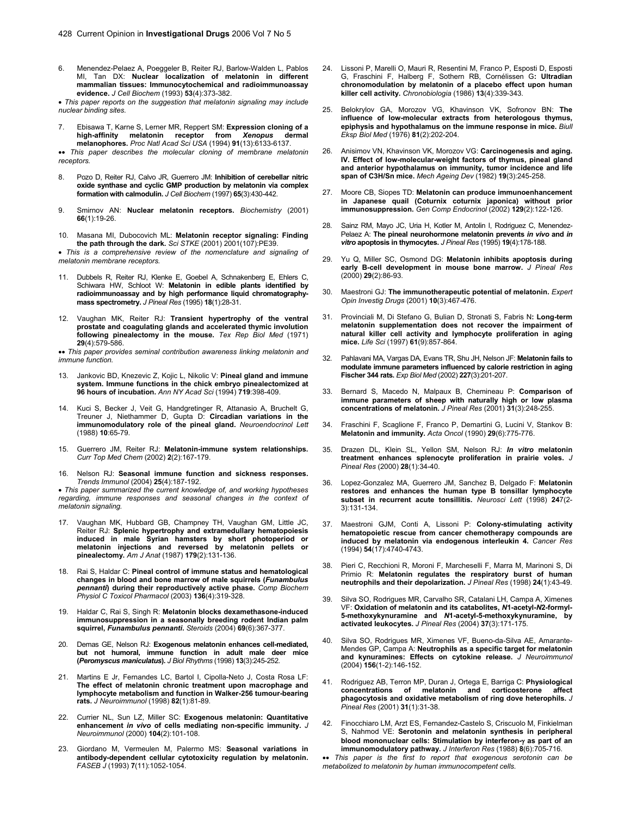6. Menendez-Pelaez A, Poeggeler B, Reiter RJ, Barlow-Walden L, Pablos MI, Tan DX: **Nuclear localization of melatonin in different mammalian tissues: Immunocytochemical and radioimmunoassay evidence.** *J Cell Biochem* (1993) **53**(4):373-382.

• *This paper reports on the suggestion that melatonin signaling may include nuclear binding sites.* 

7. Ebisawa T, Karne S, Lerner MR, Reppert SM: **Expression cloning of a high-affinity melatonin receptor from** *Xenopus* **dermal melanophores.** *Proc Natl Acad Sci USA* (1994) **91**(13):6133-6137.

•• *This paper describes the molecular cloning of membrane melatonin receptors.*

- 8. Pozo D, Reiter RJ, Calvo JR, Guerrero JM: **Inhibition of cerebellar nitric oxide synthase and cyclic GMP production by melatonin via complex formation with calmodulin.** *J Cell Biochem* (1997) **65**(3):430-442.
- 9. Smirnov AN: **Nuclear melatonin receptors.** *Biochemistry* (2001) **66**(1):19-26.
- 10. Masana MI, Dubocovich ML: **Melatonin receptor signaling: Finding the path through the dark.** *Sci STKE* (2001) 2001(107):PE39.

• *This is a comprehensive review of the nomenclature and signaling of melatonin membrane receptors.* 

- 11. Dubbels R, Reiter RJ, Klenke E, Goebel A, Schnakenberg E, Ehlers C, Schiwara HW, Schloot W: **Melatonin in edible plants identified by radioimmunoassay and by high performance liquid chromatographymass spectrometry.** *J Pineal Res* (1995) **18**(1):28-31.
- 12. Vaughan MK, Reiter RJ: **Transient hypertrophy of the ventral prostate and coagulating glands and accelerated thymic involution following pinealectomy in the mouse.** *Tex Rep Biol Med* (1971) **29**(4):579-586.

•• *This paper provides seminal contribution awareness linking melatonin and immune function.* 

- 13. Jankovic BD, Knezevic Z, Kojic L, Nikolic V: **Pineal gland and immune system. Immune functions in the chick embryo pinealectomized at 96 hours of incubation.** *Ann NY Acad Sci* (1994) **719**:398-409.
- 14. Kuci S, Becker J, Veit G, Handgretinger R, Attanasio A, Bruchelt G, Treuner J, Niethammer D, Gupta D: **Circadian variations in the immunomodulatory role of the pineal gland.** *Neuroendocrinol Lett*  (1988) **10**:65-79.
- 15. Guerrero JM, Reiter RJ: **Melatonin-immune system relationships.** *Curr Top Med Chem* (2002) **2**(2):167-179.
- 16. Nelson RJ: **Seasonal immune function and sickness responses.** *Trends Immunol* (2004) **25**(4):187-192.

• *This paper summarized the current knowledge of, and working hypotheses regarding, immune responses and seasonal changes in the context of melatonin signaling.* 

- 17. Vaughan MK, Hubbard GB, Champney TH, Vaughan GM, Little JC, Reiter RJ: **Splenic hypertrophy and extramedullary hematopoiesis induced in male Syrian hamsters by short photoperiod or melatonin injections and reversed by melatonin pellets or pinealectomy.** *Am J Anat* (1987) **179**(2):131-136.
- 18. Rai S, Haldar C: **Pineal control of immune status and hematological changes in blood and bone marrow of male squirrels (***Funambulus pennanti***) during their reproductively active phase.** *Comp Biochem Physiol C Toxicol Pharmacol* (2003) **136**(4):319-328.
- 19. Haldar C, Rai S, Singh R: **Melatonin blocks dexamethasone-induced immunosuppression in a seasonally breeding rodent Indian palm squirrel,** *Funambulus pennanti***.** *Steroids* (2004) **69**(6):367-377.
- 20. Demas GE, Nelson RJ: **Exogenous melatonin enhances cell-mediated, but not humoral, immune function in adult male deer mice (***Peromyscus maniculatus***).** *J Biol Rhythms* (1998) **13**(3):245-252.
- 21. Martins E Jr, Fernandes LC, Bartol I, Cipolla-Neto J, Costa Rosa LF: **The effect of melatonin chronic treatment upon macrophage and lymphocyte metabolism and function in Walker-256 tumour-bearing rats.** *J Neuroimmunol* (1998) **82**(1):81-89.
- 22. Currier NL, Sun LZ, Miller SC: **Exogenous melatonin: Quantitative enhancement** *in vivo* **of cells mediating non-specific immunity.** *J Neuroimmunol* (2000) **104**(2):101-108.
- 23. Giordano M, Vermeulen M, Palermo MS: **Seasonal variations in antibody-dependent cellular cytotoxicity regulation by melatonin.** *FASEB J* (1993) **7**(11):1052-1054.
- 24. Lissoni P, Marelli O, Mauri R, Resentini M, Franco P, Esposti D, Esposti G, Fraschini F, Halberg F, Sothern RB, Cornélissen G**: Ultradian chronomodulation by melatonin of a placebo effect upon human killer cell activity.** *Chronobiologia* (1986) **13**(4):339-343.
- 25. Belokrylov GA, Morozov VG, Khavinson VK, Sofronov BN: **The influence of low-molecular extracts from heterologous thymus, epiphysis and hypothalamus on the immune response in mice.** *Biull Eksp Biol Med* (1976) **81**(2):202-204.
- 26. Anisimov VN, Khavinson VK, Morozov VG: **Carcinogenesis and aging. IV. Effect of low-molecular-weight factors of thymus, pineal gland and anterior hypothalamus on immunity, tumor incidence and life span of C3H/Sn mice.** *Mech Ageing Dev* (1982) **19**(3):245-258.
- 27. Moore CB, Siopes TD: **Melatonin can produce immunoenhancement in Japanese quail (Coturnix coturnix japonica) without prior immunosuppression.** *Gen Comp Endocrinol* (2002) **129**(2):122-126.
- 28. Sainz RM, Mayo JC, Uria H, Kotler M, Antolin I, Rodriguez C, Menendez-Pelaez A: **The pineal neurohormone melatonin prevents** *in vivo* **and** *in vitro* **apoptosis in thymocytes.** *J Pineal Res* (1995) **19**(4):178-188.
- 29. Yu Q, Miller SC, Osmond DG: **Melatonin inhibits apoptosis during early B-cell development in mouse bone marrow.** *J Pineal Res*  (2000) **29**(2):86-93.
- 30. Maestroni GJ: **The immunotherapeutic potential of melatonin.** *Expert Opin Investig Drugs* (2001) **10**(3):467-476.
- 31. Provinciali M, Di Stefano G, Bulian D, Stronati S, Fabris N**: Long-term melatonin supplementation does not recover the impairment of natural killer cell activity and lymphocyte proliferation in aging mice.** *Life Sci* (1997) **61**(9):857-864.
- 32. Pahlavani MA, Vargas DA, Evans TR, Shu JH, Nelson JF: **Melatonin fails to modulate immune parameters influenced by calorie restriction in aging Fischer 344 rats.** *Exp Biol Med* (2002) **227**(3):201-207.
- 33. Bernard S, Macedo N, Malpaux B, Chemineau P: **Comparison of immune parameters of sheep with naturally high or low plasma concentrations of melatonin.** *J Pineal Res* (2001) **31**(3):248-255.
- 34. Fraschini F, Scaglione F, Franco P, Demartini G, Lucini V, Stankov B: **Melatonin and immunity.** *Acta Oncol* (1990) **29**(6):775-776.
- 35. Drazen DL, Klein SL, Yellon SM, Nelson RJ: *In vitro* **melatonin treatment enhances splenocyte proliferation in prairie voles.** *J Pineal Res* (2000) **28**(1):34-40.
- 36. Lopez-Gonzalez MA, Guerrero JM, Sanchez B, Delgado F: **Melatonin restores and enhances the human type B tonsillar lymphocyte subset in recurrent acute tonsillitis.** *Neurosci Lett* (1998) **24**7(2- 3):131-134.
- 37. Maestroni GJM, Conti A, Lissoni P: **Colony-stimulating activity hematopoietic rescue from cancer chemotherapy compounds are induced by melatonin via endogenous interleukin 4.** *Cancer Res*  (1994) **54**(17):4740-4743.
- 38. Pieri C, Recchioni R, Moroni F, Marcheselli F, Marra M, Marinoni S, Di Primio R: **Melatonin regulates the respiratory burst of human neutrophils and their depolarization.** *J Pineal Res* (1998) **24**(1):43-49.
- 39. Silva SO, Rodrigues MR, Carvalho SR, Catalani LH, Campa A, Ximenes VF: **Oxidation of melatonin and its catabolites,** *N***1-acetyl-***N***2-formyl-5-methoxykynuramine and** *N***1-acetyl-5-methoxykynuramine, by activated leukocytes.** *J Pineal Res* (2004) **37**(3):171-175.
- 40. Silva SO, Rodrigues MR, Ximenes VF, Bueno-da-Silva AE, Amarante-Mendes GP, Campa A: **Neutrophils as a specific target for melatonin and kynuramines: Effects on cytokine release.** *J Neuroimmunol*  (2004) **156**(1-2):146-152.
- 41. Rodriguez AB, Terron MP, Duran J, Ortega E, Barriga C: **Physiological concentrations of melatonin and corticosterone affect phagocytosis and oxidative metabolism of ring dove heterophils.** *J Pineal Res* (2001) **31**(1):31-38.
- 42. Finocchiaro LM, Arzt ES, Fernandez-Castelo S, Criscuolo M, Finkielman S, Nahmod VE: **Serotonin and melatonin synthesis in peripheral blood mononuclear cells: Stimulation by interferon-**γ **as part of an immunomodulatory pathway.** *J Interferon Res* (1988) **8**(6):705-716.
- •• *This paper is the first to report that exogenous serotonin can be metabolized to melatonin by human immunocompetent cells.*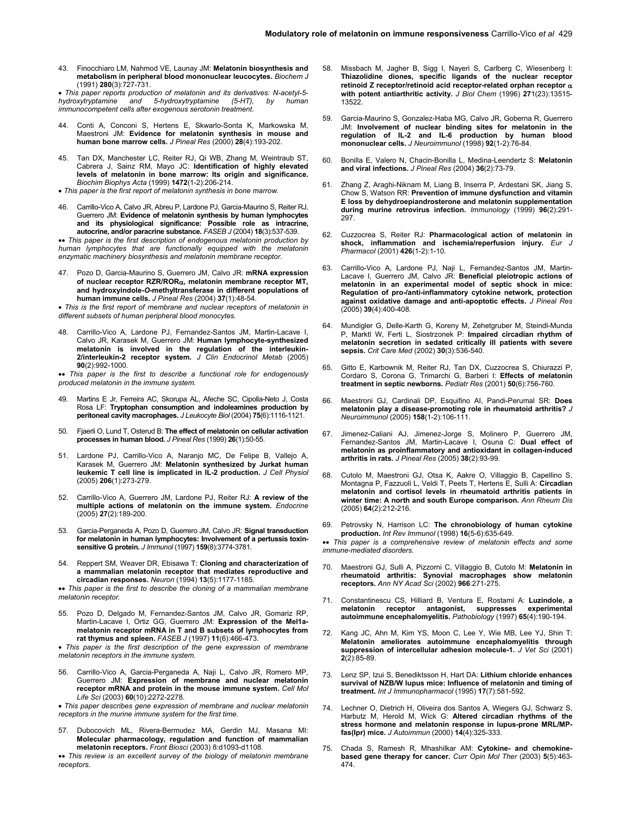43. Finocchiaro LM, Nahmod VE, Launay JM: **Melatonin biosynthesis and metabolism in peripheral blood mononuclear leucocytes.** *Biochem J*  (1991) **280**(3):727-731.

• *This paper reports production of melatonin and its derivatives: N-acetyl-5- hydroxytryptamine and 5-hydroxytryptamine (5-HT), by human immunocompetent cells after exogenous serotonin treatment.*

- 44. Conti A, Conconi S, Hertens E, Skwarlo-Sonta K, Markowska M, Maestroni JM: **Evidence for melatonin synthesis in mouse and human bone marrow cells.** *J Pineal Res* (2000) **28**(4):193-202.
- 45. Tan DX, Manchester LC, Reiter RJ, Qi WB, Zhang M, Weintraub ST, Cabrera J, Sainz RM, Mayo JC: **Identification of highly elevated levels of melatonin in bone marrow: Its origin and significance.** *Biochim Biophys Acta* (1999) **1472**(1-2):206-214.
- *This paper is the first report of melatonin synthesis in bone marrow.*
- 46. Carrillo-Vico A, Calvo JR, Abreu P, Lardone PJ, Garcia-Maurino S, Reiter RJ, Guerrero JM: **Evidence of melatonin synthesis by human lymphocytes and its physiological significance: Possible role as intracrine, autocrine, and/or paracrine substance.** *FASEB J* (2004) **18**(3):537-539.

•• *This paper is the first description of endogenous melatonin production by human lymphocytes that are functionally equipped with the melatonin enzymatic machinery biosynthesis and melatonin membrane receptor.*

47. Pozo D, Garcia-Maurino S, Guerrero JM, Calvo JR: **mRNA expression of nuclear receptor RZR/ROR**α**, melatonin membrane receptor MT, and hydroxyindole-***O***-methyltransferase in different populations of human immune cells.** *J Pineal Res* (2004) **37**(1):48-54.

• *This is the first report of membrane and nuclear receptors of melatonin in different subsets of human peripheral blood monocytes.*

48. Carrillo-Vico A, Lardone PJ, Fernandez-Santos JM, Martin-Lacave I, Calvo JR, Karasek M, Guerrero JM: **Human lymphocyte-synthesized melatonin is involved in the regulation of the interleukin-2/interleukin-2 receptor system.** *J Clin Endocrinol Metab* (2005) **90**(2):992-1000.

•• *This paper is the first to describe a functional role for endogenously produced melatonin in the immune system.*

- 49. Martins E Jr, Ferreira AC, Skorupa AL, Afeche SC, Cipolla-Neto J, Costa Rosa LF: **Tryptophan consumption and indoleamines production by peritoneal cavity macrophages.** *J Leukocyte Biol* (2004) **75**(6):1116-1121.
- 50. Fjaerli O, Lund T, Osterud B: **The effect of melatonin on cellular activation processes in human blood.** *J Pineal Res* (1999) **26**(1):50-55.
- 51. Lardone PJ, Carrillo-Vico A, Naranjo MC, De Felipe B, Vallejo A, Karasek M, Guerrero JM: **Melatonin synthesized by Jurkat human leukemic T cell line is implicated in IL-2 production.** *J Cell Physiol* (2005) **206**(1):273-279.
- 52. Carrillo-Vico A, Guerrero JM, Lardone PJ, Reiter RJ: **A review of the multiple actions of melatonin on the immune system.** *Endocrine*  (2005) **27**(2):189-200.
- 53. Garcia-Perganeda A, Pozo D, Guerrero JM, Calvo JR: **Signal transduction for melatonin in human lymphocytes: Involvement of a pertussis toxinsensitive G protein.** *J Immunol* (1997) **159**(8):3774-3781.
- 54. Reppert SM, Weaver DR, Ebisawa T: **Cloning and characterization of a mammalian melatonin receptor that mediates reproductive and circadian responses.** *Neuron* (1994) **13**(5):1177-1185.

•• *This paper is the first to describe the cloning of a mammalian membrane melatonin receptor.* 

55. Pozo D, Delgado M, Fernandez-Santos JM, Calvo JR, Gomariz RP, Martin-Lacave I, Ortiz GG, Guerrero JM: **Expression of the Mel1amelatonin receptor mRNA in T and B subsets of lymphocytes from rat thymus and spleen.** *FASEB J* (1997) **11**(6):466-473.

• *This paper is the first description of the gene expression of membrane melatonin receptors in the immune system.*

56. Carrillo-Vico A, Garcia-Perganeda A, Naji L, Calvo JR, Romero MP, Guerrero JM: **Expression of membrane and nuclear melatonin receptor mRNA and protein in the mouse immune system.** *Cell Mol Life Sci* (2003) **60**(10):2272-2278.

• *This paper describes gene expression of membrane and nuclear melatonin receptors in the murine immune system for the first time.* 

Dubocovich ML, Rivera-Bermudez MA, Gerdin MJ, Masana MI: **Molecular pharmacology, regulation and function of mammalian melatonin receptors.** *Front Biosci* (2003) 8:d1093-d1108.

•• *This review is an excellent survey of the biology of melatonin membrane receptors.*

- 58. Missbach M, Jagher B, Sigg I, Nayeri S, Carlberg C, Wiesenberg I: **Thiazolidine diones, specific ligands of the nuclear receptor retinoid Z receptor/retinoid acid receptor-related orphan receptor** α **with potent antiarthritic activity.** *J Biol Chem* (1996) **27**1(23):13515- 13522.
- 59. Garcia-Maurino S, Gonzalez-Haba MG, Calvo JR, Goberna R, Guerrero JM: **Involvement of nuclear binding sites for melatonin in the regulation of IL-2 and IL-6 production by human blood mononuclear cells.** *J Neuroimmunol* (1998) **92**(1-2):76-84.
- 60. Bonilla E, Valero N, Chacin-Bonilla L, Medina-Leendertz S: **Melatonin and viral infections.** *J Pineal Res* (2004) **36**(2):73-79.
- 61. Zhang Z, Araghi-Niknam M, Liang B, Inserra P, Ardestani SK, Jiang S, Chow S, Watson RR: **Prevention of immune dysfunction and vitamin E loss by dehydroepiandrosterone and melatonin supplementation during murine retrovirus infection.** *Immunology* (1999) **96**(2):291- 297.
- 62. Cuzzocrea S, Reiter RJ: **Pharmacological action of melatonin in shock, inflammation and ischemia/reperfusion injury.** *Eur J Pharmacol* (2001) **426**(1-2):1-10.
- 63. Carrillo-Vico A, Lardone PJ, Naji L, Fernandez-Santos JM, Martin-Lacave I, Guerrero JM, Calvo JR: **Beneficial pleiotropic actions of melatonin in an experimental model of septic shock in mice: Regulation of pro-/anti-inflammatory cytokine network, protection against oxidative damage and anti-apoptotic effects.** *J Pineal Res*  (2005) **39**(4):400-408.
- 64. Mundigler G, Delle-Karth G, Koreny M, Zehetgruber M, Steindl-Munda P, Marktl W, Ferti L, Siostrzonek P: **Impaired circadian rhythm of melatonin secretion in sedated critically ill patients with severe sepsis.** *Crit Care Med* (2002) **30**(3):536-540.
- 65. Gitto E, Karbownik M, Reiter RJ, Tan DX, Cuzzocrea S, Chiurazzi P, Cordaro S, Corona G, Trimarchi G, Barberi I: **Effects of melatonin treatment in septic newborns.** *Pediatr Res* (2001) **50**(6):756-760.
- 66. Maestroni GJ, Cardinali DP, Esquifino AI, Pandi-Perumal SR: **Does melatonin play a disease-promoting role in rheumatoid arthritis?** *J Neuroimmunol* (2005) **158**(1-2):106-111.
- 67. Jimenez-Caliani AJ, Jimenez-Jorge S, Molinero P, Guerrero JM, Fernandez-Santos JM, Martin-Lacave I, Osuna C: **Dual effect of melatonin as proinflammatory and antioxidant in collagen-induced arthritis in rats.** *J Pineal Res* (2005) **38**(2):93-99.
- 68. Cutolo M, Maestroni GJ, Otsa K, Aakre O, Villaggio B, Capellino S, Montagna P, Fazzuoli L, Veldi T, Peets T, Hertens E, Sulli A: **Circadian melatonin and cortisol levels in rheumatoid arthritis patients in winter time: A north and south Europe comparison.** *Ann Rheum Dis* (2005) **64**(2):212-216.
- 69. Petrovsky N, Harrison LC: **The chronobiology of human cytokine production.** *Int Rev Immunol* (1998) **16**(5-6):635-649.

•• *This paper is a comprehensive review of melatonin effects and some immune-mediated disorders.* 

- 70. Maestroni GJ, Sulli A, Pizzorni C, Villaggio B, Cutolo M: **Melatonin in rheumatoid arthritis: Synovial macrophages show melatonin receptors.** *Ann NY Acad Sci* (2002) **966**:271-275.
- 71. Constantinescu CS, Hilliard B, Ventura E, Rostami A: **Luzindole, a melatonin receptor antagonist, suppresses experimental autoimmune encephalomyelitis.** *Pathobiology* (1997) **65**(4):190-194.
- 72. Kang JC, Ahn M, Kim YS, Moon C, Lee Y, Wie MB, Lee YJ, Shin T: **Melatonin ameliorates autoimmune encephalomyelitis through suppression of intercellular adhesion molecule-1.** *J Vet Sci* (2001) **2**(2):85-89.
- 73. Lenz SP, Izui S, Benediktsson H, Hart DA: **Lithium chloride enhances survival of NZB/W lupus mice: Influence of melatonin and timing of treatment.** *Int J Immunopharmacol* (1995) **17**(7):581-592.
- 74. Lechner O, Dietrich H, Oliveira dos Santos A, Wiegers GJ, Schwarz S, Harbutz M, Herold M, Wick G: **Altered circadian rhythms of the stress hormone and melatonin response in lupus-prone MRL/MPfas(Ipr) mice.** *J Autoimmun* (2000) **14**(4):325-333.
- 75. Chada S, Ramesh R, Mhashilkar AM: **Cytokine- and chemokinebased gene therapy for cancer.** *Curr Opin Mol Ther* (2003) **5**(5):463- 474.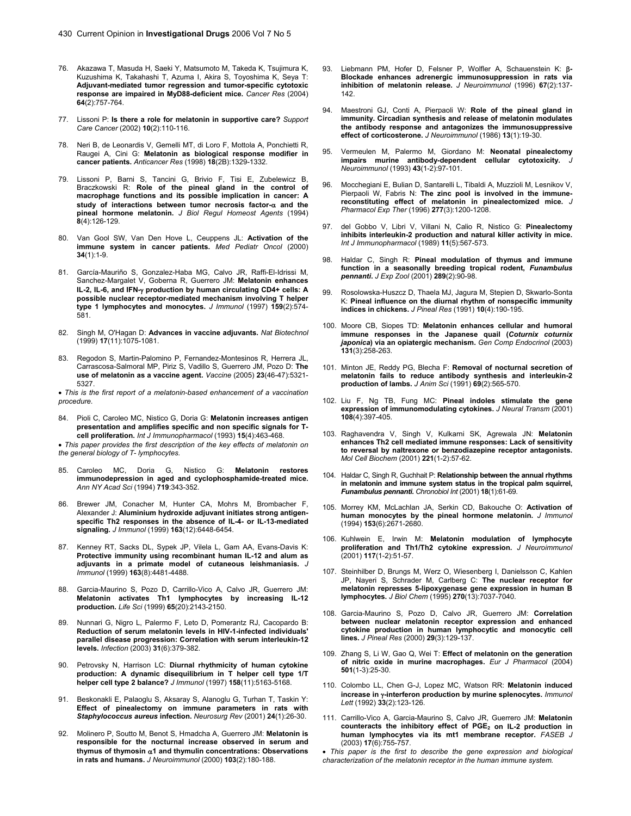- 76. Akazawa T, Masuda H, Saeki Y, Matsumoto M, Takeda K, Tsujimura K, Kuzushima K, Takahashi T, Azuma I, Akira S, Toyoshima K, Seya T: **Adjuvant-mediated tumor regression and tumor-specific cytotoxic response are impaired in MyD88-deficient mice.** *Cancer Res* (2004) **64**(2):757-764.
- 77. Lissoni P: **Is there a role for melatonin in supportive care?** *Support Care Cancer* (2002) **10**(2):110-116.
- 78. Neri B, de Leonardis V, Gemelli MT, di Loro F, Mottola A, Ponchietti R, Raugei A, Cini G: **Melatonin as biological response modifier in cancer patients.** *Anticancer Res* (1998) **18**(2B):1329-1332.
- 79. Lissoni P, Barni S, Tancini G, Brivio F, Tisi E, Zubelewicz B, Braczkowski R: **Role of the pineal gland in the control of macrophage functions and its possible implication in cancer: A study of interactions between tumor necrosis factor-**α **and the pineal hormone melatonin.** *J Biol Regul Homeost Agents* (1994) **8**(4):126-129.
- 80. Van Gool SW, Van Den Hove L, Ceuppens JL: **Activation of the immune system in cancer patients.** *Med Pediatr Oncol* (2000) **34**(1):1-9.
- 81. García-Mauriño S, Gonzalez-Haba MG, Calvo JR, Raffi-El-Idrissi M, Sanchez-Margalet V, Goberna R, Guerrero JM: **Melatonin enhances IL-2, IL-6, and IFN-**γ **production by human circulating CD4+ cells: A possible nuclear receptor-mediated mechanism involving T helper type 1 lymphocytes and monocytes.** *J Immunol* (1997) **159**(2):574- 581.
- 82. Singh M, O'Hagan D: **Advances in vaccine adjuvants.** *Nat Biotechnol*  (1999) **17**(11):1075-1081.
- 83. Regodon S, Martin-Palomino P, Fernandez-Montesinos R, Herrera JL, Carrascosa-Salmoral MP, Piriz S, Vadillo S, Guerrero JM, Pozo D: **The use of melatonin as a vaccine agent.** *Vaccine* (2005) **23**(46-47):5321- 5327.

• *This is the first report of a melatonin-based enhancement of a vaccination procedure.*

84. Pioli C, Caroleo MC, Nistico G, Doria G: **Melatonin increases antigen presentation and amplifies specific and non specific signals for Tcell proliferation.** *Int J Immunopharmacol* (1993) **15**(4):463-468.

• *This paper provides the first description of the key effects of melatonin on the general biology of T- lymphocytes.* 

- 85. Caroleo MC, Doria G, Nistico G: **Melatonin restores immunodepression in aged and cyclophosphamide-treated mice.** *Ann NY Acad Sci* (1994) **719**:343-352.
- 86. Brewer JM, Conacher M, Hunter CA, Mohrs M, Brombacher F, Alexander J: **Aluminium hydroxide adjuvant initiates strong antigenspecific Th2 responses in the absence of IL-4- or IL-13-mediated signaling.** *J Immunol* (1999) **163**(12):6448-6454.
- 87. Kenney RT, Sacks DL, Sypek JP, Vilela L, Gam AA, Evans-Davis K: **Protective immunity using recombinant human IL-12 and alum as adjuvants in a primate model of cutaneous leishmaniasis.** *J Immunol* (1999) **163**(8):4481-4488.
- 88. Garcia-Maurino S, Pozo D, Carrillo-Vico A, Calvo JR, Guerrero JM: **Melatonin activates Th1 lymphocytes by increasing IL-12 production.** *Life Sci* (1999) **65**(20):2143-2150.
- 89. Nunnari G, Nigro L, Palermo F, Leto D, Pomerantz RJ, Cacopardo B: **Reduction of serum melatonin levels in HIV-1-infected individuals' parallel disease progression: Correlation with serum interleukin-12 levels.** *Infection* (2003) **31**(6):379-382.
- 90. Petrovsky N, Harrison LC: **Diurnal rhythmicity of human cytokine production: A dynamic disequilibrium in T helper cell type 1/T helper cell type 2 balance?** *J Immunol* (1997) **158**(11):5163-5168.
- 91. Beskonakli E, Palaoglu S, Aksaray S, Alanoglu G, Turhan T, Taskin Y: **Effect of pinealectomy on immune parameters in rats with**  *Staphylococcus aureus* **infection.** *Neurosurg Rev* (2001) **24**(1):26-30.
- 92. Molinero P, Soutto M, Benot S, Hmadcha A, Guerrero JM: **Melatonin is responsible for the nocturnal increase observed in serum and thymus of thymosin** α**1 and thymulin concentrations: Observations in rats and humans.** *J Neuroimmunol* (2000) **103**(2):180-188.
- 93. Liebmann PM, Hofer D, Felsner P, Wolfler A, Schauenstein K: β**-Blockade enhances adrenergic immunosuppression in rats via inhibition of melatonin release.** *J Neuroimmunol* (1996) **67**(2):137- 142.
- 94. Maestroni GJ, Conti A, Pierpaoli W: **Role of the pineal gland in immunity. Circadian synthesis and release of melatonin modulates the antibody response and antagonizes the immunosuppressive effect of corticosterone.** *J Neuroimmunol* (1986) **13**(1):19-30.
- 95. Vermeulen M, Palermo M, Giordano M: **Neonatal pinealectomy**  impairs murine antibody-dependent cellular cytotoxicity. *Neuroimmunol* (1993) **43**(1-2):97-101.
- 96. Mocchegiani E, Bulian D, Santarelli L, Tibaldi A, Muzzioli M, Lesnikov V, Pierpaoli W, Fabris N: **The zinc pool is involved in the immunereconstituting effect of melatonin in pinealectomized mice.** *J Pharmacol Exp Ther* (1996) **277**(3):1200-1208.
- 97. del Gobbo V, Libri V, Villani N, Calio R, Nistico G: **Pinealectomy inhibits interleukin-2 production and natural killer activity in mice.** *Int J Immunopharmacol* (1989) **11**(5):567-573.
- 98. Haldar C, Singh R: **Pineal modulation of thymus and immune function in a seasonally breeding tropical rodent,** *Funambulus pennanti***.** *J Exp Zool* (2001) **289**(2):90-98.
- 99. Rosolowska-Huszcz D, Thaela MJ, Jagura M, Stepien D, Skwarlo-Sonta K: **Pineal influence on the diurnal rhythm of nonspecific immunity indices in chickens.** *J Pineal Res* (1991) **10**(4):190-195.
- 100. Moore CB, Siopes TD: **Melatonin enhances cellular and humoral immune responses in the Japanese quail (***Coturnix coturnix japonica***) via an opiatergic mechanism.** *Gen Comp Endocrinol* (2003) **131**(3):258-263.
- 101. Minton JE, Reddy PG, Blecha F: **Removal of nocturnal secretion of melatonin fails to reduce antibody synthesis and interleukin-2 production of lambs.** *J Anim Sci* (1991) **69**(2):565-570.
- 102. Liu F, Ng TB, Fung MC: **Pineal indoles stimulate the gene expression of immunomodulating cytokines.** *J Neural Transm* (2001) **108**(4):397-405.
- 103. Raghavendra V, Singh V, Kulkarni SK, Agrewala JN: **Melatonin enhances Th2 cell mediated immune responses: Lack of sensitivity to reversal by naltrexone or benzodiazepine receptor antagonists.**  *Mol Cell Biochem* (2001) **221**(1-2):57-62.
- 104. Haldar C, Singh R, Guchhait P: **Relationship between the annual rhythms in melatonin and immune system status in the tropical palm squirrel,**  *Funambulus pennanti***.** *Chronobiol Int* (2001) **18**(1):61-69.
- 105. Morrey KM, McLachlan JA, Serkin CD, Bakouche O: **Activation of human monocytes by the pineal hormone melatonin.** *J Immunol*  (1994) **153**(6):2671-2680.
- 106. Kuhlwein E, Irwin M: **Melatonin modulation of lymphocyte proliferation and Th1/Th2 cytokine expression.** *J Neuroimmunol*  (2001) **117**(1-2):51-57.
- 107. Steinhilber D, Brungs M, Werz O, Wiesenberg I, Danielsson C, Kahlen JP, Nayeri S, Schrader M, Carlberg C: **The nuclear receptor for melatonin represses 5-lipoxygenase gene expression in human B lymphocytes.** *J Biol Chem* (1995) **270**(13):7037-7040.
- 108. Garcia-Maurino S, Pozo D, Calvo JR, Guerrero JM: **Correlation between nuclear melatonin receptor expression and enhanced cytokine production in human lymphocytic and monocytic cell lines.** *J Pineal Res* (2000) **29**(3):129-137.
- 109. Zhang S, Li W, Gao Q, Wei T: **Effect of melatonin on the generation of nitric oxide in murine macrophages.** *Eur J Pharmacol* (2004) **501**(1-3):25-30.
- 110. Colombo LL, Chen G-J, Lopez MC, Watson RR: **Melatonin induced increase in** γ**-interferon production by murine splenocytes.** *Immunol Lett* (1992) **33**(2):123-126.
- 111. Carrillo-Vico A, Garcia-Maurino S, Calvo JR, Guerrero JM: **Melatonin**  counteracts the inhibitory effect of PGE<sub>2</sub> on IL-2 production in **human lymphocytes via its mt1 membrane receptor.** *FASEB J*  (2003) **17**(6):755-757.

• *This paper is the first to describe the gene expression and biological characterization of the melatonin receptor in the human immune system.*